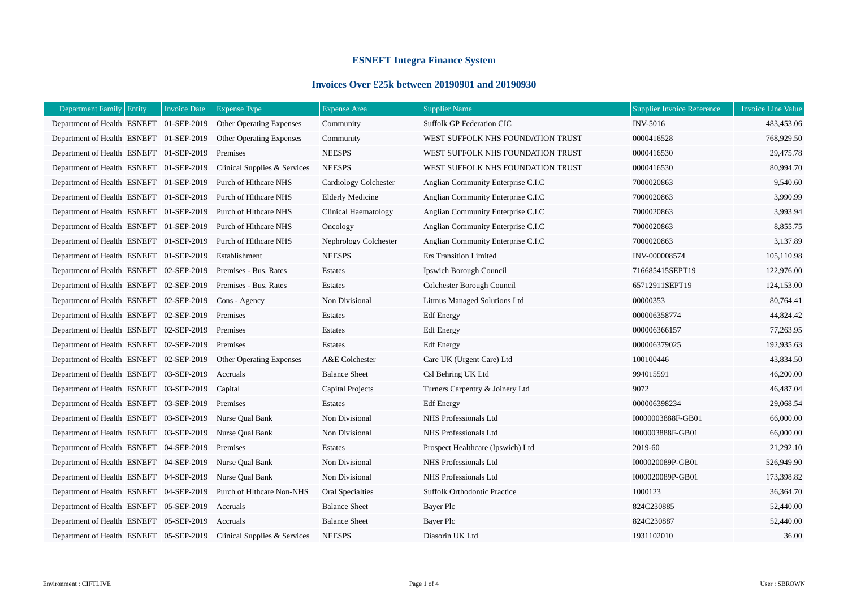## **ESNEFT Integra Finance System**

## **Invoices Over £25k between 20190901 and 20190930**

| Department Family Entity                                         | <b>Invoice Date</b><br><b>Expense Type</b> | <b>Expense Area</b>     | <b>Supplier Name</b>               | Supplier Invoice Reference | <b>Invoice Line Value</b> |
|------------------------------------------------------------------|--------------------------------------------|-------------------------|------------------------------------|----------------------------|---------------------------|
| Department of Health ESNEFT 01-SEP-2019                          | <b>Other Operating Expenses</b>            | Community               | <b>Suffolk GP Federation CIC</b>   | <b>INV-5016</b>            | 483,453.06                |
| Department of Health ESNEFT 01-SEP-2019 Other Operating Expenses |                                            | Community               | WEST SUFFOLK NHS FOUNDATION TRUST  | 0000416528                 | 768,929.50                |
| Department of Health ESNEFT 01-SEP-2019                          | Premises                                   | <b>NEESPS</b>           | WEST SUFFOLK NHS FOUNDATION TRUST  | 0000416530                 | 29,475.78                 |
| Department of Health ESNEFT 01-SEP-2019                          | Clinical Supplies & Services               | <b>NEESPS</b>           | WEST SUFFOLK NHS FOUNDATION TRUST  | 0000416530                 | 80,994.70                 |
| Department of Health ESNEFT 01-SEP-2019                          | Purch of Hithcare NHS                      | Cardiology Colchester   | Anglian Community Enterprise C.I.C | 7000020863                 | 9,540.60                  |
| Department of Health ESNEFT 01-SEP-2019                          | Purch of Hithcare NHS                      | <b>Elderly Medicine</b> | Anglian Community Enterprise C.I.C | 7000020863                 | 3,990.99                  |
| Department of Health ESNEFT 01-SEP-2019                          | Purch of Hithcare NHS                      | Clinical Haematology    | Anglian Community Enterprise C.I.C | 7000020863                 | 3,993.94                  |
| Department of Health ESNEFT 01-SEP-2019                          | Purch of Hithcare NHS                      | Oncology                | Anglian Community Enterprise C.I.C | 7000020863                 | 8,855.75                  |
| Department of Health ESNEFT 01-SEP-2019                          | Purch of Hithcare NHS                      | Nephrology Colchester   | Anglian Community Enterprise C.I.C | 7000020863                 | 3,137.89                  |
| Department of Health ESNEFT 01-SEP-2019                          | Establishment                              | <b>NEESPS</b>           | <b>Ers Transition Limited</b>      | INV-000008574              | 105,110.98                |
| Department of Health ESNEFT 02-SEP-2019                          | Premises - Bus. Rates                      | Estates                 | Ipswich Borough Council            | 716685415SEPT19            | 122,976.00                |
| Department of Health ESNEFT 02-SEP-2019                          | Premises - Bus. Rates                      | Estates                 | Colchester Borough Council         | 65712911SEPT19             | 124,153.00                |
| Department of Health ESNEFT 02-SEP-2019                          | Cons - Agency                              | Non Divisional          | Litmus Managed Solutions Ltd       | 00000353                   | 80,764.41                 |
| Department of Health ESNEFT 02-SEP-2019                          | Premises                                   | Estates                 | <b>Edf</b> Energy                  | 000006358774               | 44,824.42                 |
| Department of Health ESNEFT 02-SEP-2019                          | Premises                                   | Estates                 | <b>Edf</b> Energy                  | 000006366157               | 77,263.95                 |
| Department of Health ESNEFT 02-SEP-2019                          | Premises                                   | Estates                 | <b>Edf</b> Energy                  | 000006379025               | 192,935.63                |
| Department of Health ESNEFT 02-SEP-2019                          | <b>Other Operating Expenses</b>            | A&E Colchester          | Care UK (Urgent Care) Ltd          | 100100446                  | 43,834.50                 |
| Department of Health ESNEFT 03-SEP-2019                          | Accruals                                   | <b>Balance Sheet</b>    | Csl Behring UK Ltd                 | 994015591                  | 46,200.00                 |
| Department of Health ESNEFT 03-SEP-2019                          | Capital                                    | Capital Projects        | Turners Carpentry & Joinery Ltd    | 9072                       | 46,487.04                 |
| Department of Health ESNEFT 03-SEP-2019                          | Premises                                   | Estates                 | <b>Edf</b> Energy                  | 000006398234               | 29,068.54                 |
| Department of Health ESNEFT 03-SEP-2019                          | Nurse Oual Bank                            | Non Divisional          | NHS Professionals Ltd              | I0000003888F-GB01          | 66,000.00                 |
| Department of Health ESNEFT 03-SEP-2019                          | Nurse Oual Bank                            | Non Divisional          | NHS Professionals Ltd              | I000003888F-GB01           | 66,000.00                 |
| Department of Health ESNEFT 04-SEP-2019                          | Premises                                   | Estates                 | Prospect Healthcare (Ipswich) Ltd  | 2019-60                    | 21,292.10                 |
| Department of Health ESNEFT 04-SEP-2019                          | Nurse Qual Bank                            | Non Divisional          | NHS Professionals Ltd              | I000020089P-GB01           | 526,949.90                |
| Department of Health ESNEFT 04-SEP-2019                          | Nurse Oual Bank                            | Non Divisional          | NHS Professionals Ltd              | I000020089P-GB01           | 173,398.82                |
| Department of Health ESNEFT 04-SEP-2019                          | Purch of Hlthcare Non-NHS                  | <b>Oral Specialties</b> | Suffolk Orthodontic Practice       | 1000123                    | 36,364.70                 |
| Department of Health ESNEFT 05-SEP-2019                          | Accruals                                   | <b>Balance Sheet</b>    | Bayer Plc                          | 824C230885                 | 52,440.00                 |
| Department of Health ESNEFT 05-SEP-2019                          | Accruals                                   | <b>Balance Sheet</b>    | Bayer Plc                          | 824C230887                 | 52,440.00                 |
| Department of Health ESNEFT 05-SEP-2019                          | Clinical Supplies & Services               | <b>NEESPS</b>           | Diasorin UK Ltd                    | 1931102010                 | 36.00                     |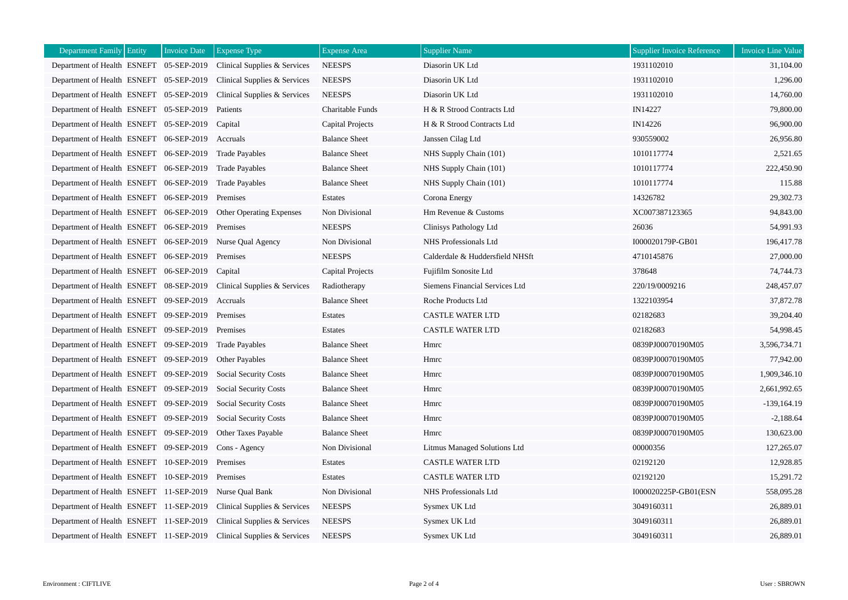| Department Family Entity                | <b>Invoice Date</b> | <b>Expense Type</b>             | <b>Expense</b> Area  | <b>Supplier Name</b>            | <b>Supplier Invoice Reference</b> | <b>Invoice Line Value</b> |
|-----------------------------------------|---------------------|---------------------------------|----------------------|---------------------------------|-----------------------------------|---------------------------|
| Department of Health ESNEFT 05-SEP-2019 |                     | Clinical Supplies & Services    | <b>NEESPS</b>        | Diasorin UK Ltd                 | 1931102010                        | 31,104.00                 |
| Department of Health ESNEFT 05-SEP-2019 |                     | Clinical Supplies & Services    | <b>NEESPS</b>        | Diasorin UK Ltd                 | 1931102010                        | 1,296.00                  |
| Department of Health ESNEFT 05-SEP-2019 |                     | Clinical Supplies & Services    | <b>NEESPS</b>        | Diasorin UK Ltd                 | 1931102010                        | 14,760.00                 |
| Department of Health ESNEFT 05-SEP-2019 |                     | Patients                        | Charitable Funds     | H & R Strood Contracts Ltd      | IN14227                           | 79,800.00                 |
| Department of Health ESNEFT 05-SEP-2019 |                     | Capital                         | Capital Projects     | H & R Strood Contracts Ltd      | IN14226                           | 96,900.00                 |
| Department of Health ESNEFT 06-SEP-2019 |                     | Accruals                        | <b>Balance Sheet</b> | Janssen Cilag Ltd               | 930559002                         | 26,956.80                 |
| Department of Health ESNEFT 06-SEP-2019 |                     | <b>Trade Payables</b>           | <b>Balance Sheet</b> | NHS Supply Chain (101)          | 1010117774                        | 2,521.65                  |
| Department of Health ESNEFT 06-SEP-2019 |                     | <b>Trade Payables</b>           | <b>Balance Sheet</b> | NHS Supply Chain (101)          | 1010117774                        | 222,450.90                |
| Department of Health ESNEFT 06-SEP-2019 |                     | <b>Trade Payables</b>           | <b>Balance Sheet</b> | NHS Supply Chain (101)          | 1010117774                        | 115.88                    |
| Department of Health ESNEFT 06-SEP-2019 |                     | Premises                        | Estates              | Corona Energy                   | 14326782                          | 29,302.73                 |
| Department of Health ESNEFT 06-SEP-2019 |                     | <b>Other Operating Expenses</b> | Non Divisional       | Hm Revenue & Customs            | XC007387123365                    | 94,843.00                 |
| Department of Health ESNEFT 06-SEP-2019 |                     | Premises                        | <b>NEESPS</b>        | Clinisys Pathology Ltd          | 26036                             | 54,991.93                 |
| Department of Health ESNEFT 06-SEP-2019 |                     | Nurse Oual Agency               | Non Divisional       | NHS Professionals Ltd           | I000020179P-GB01                  | 196,417.78                |
| Department of Health ESNEFT 06-SEP-2019 |                     | Premises                        | <b>NEESPS</b>        | Calderdale & Huddersfield NHSft | 4710145876                        | 27,000.00                 |
| Department of Health ESNEFT 06-SEP-2019 |                     | Capital                         | Capital Projects     | Fujifilm Sonosite Ltd           | 378648                            | 74,744.73                 |
| Department of Health ESNEFT 08-SEP-2019 |                     | Clinical Supplies & Services    | Radiotherapy         | Siemens Financial Services Ltd  | 220/19/0009216                    | 248,457.07                |
| Department of Health ESNEFT 09-SEP-2019 |                     | Accruals                        | <b>Balance Sheet</b> | Roche Products Ltd              | 1322103954                        | 37,872.78                 |
| Department of Health ESNEFT 09-SEP-2019 |                     | Premises                        | Estates              | <b>CASTLE WATER LTD</b>         | 02182683                          | 39,204.40                 |
| Department of Health ESNEFT 09-SEP-2019 |                     | Premises                        | Estates              | <b>CASTLE WATER LTD</b>         | 02182683                          | 54,998.45                 |
| Department of Health ESNEFT 09-SEP-2019 |                     | <b>Trade Payables</b>           | <b>Balance Sheet</b> | Hmrc                            | 0839PJ00070190M05                 | 3,596,734.71              |
| Department of Health ESNEFT 09-SEP-2019 |                     | Other Payables                  | <b>Balance Sheet</b> | Hmrc                            | 0839PJ00070190M05                 | 77,942.00                 |
| Department of Health ESNEFT 09-SEP-2019 |                     | Social Security Costs           | <b>Balance Sheet</b> | Hmrc                            | 0839PJ00070190M05                 | 1,909,346.10              |
| Department of Health ESNEFT 09-SEP-2019 |                     | <b>Social Security Costs</b>    | <b>Balance Sheet</b> | Hmrc                            | 0839PJ00070190M05                 | 2,661,992.65              |
| Department of Health ESNEFT 09-SEP-2019 |                     | Social Security Costs           | <b>Balance Sheet</b> | Hmrc                            | 0839PJ00070190M05                 | $-139,164.19$             |
| Department of Health ESNEFT 09-SEP-2019 |                     | <b>Social Security Costs</b>    | <b>Balance Sheet</b> | Hmrc                            | 0839PJ00070190M05                 | $-2,188.64$               |
| Department of Health ESNEFT 09-SEP-2019 |                     | Other Taxes Payable             | <b>Balance Sheet</b> | Hmrc                            | 0839PJ00070190M05                 | 130,623.00                |
| Department of Health ESNEFT 09-SEP-2019 |                     | Cons - Agency                   | Non Divisional       | Litmus Managed Solutions Ltd    | 00000356                          | 127,265.07                |
| Department of Health ESNEFT 10-SEP-2019 |                     | Premises                        | Estates              | <b>CASTLE WATER LTD</b>         | 02192120                          | 12,928.85                 |
| Department of Health ESNEFT 10-SEP-2019 |                     | Premises                        | Estates              | <b>CASTLE WATER LTD</b>         | 02192120                          | 15,291.72                 |
| Department of Health ESNEFT 11-SEP-2019 |                     | Nurse Oual Bank                 | Non Divisional       | NHS Professionals Ltd           | I000020225P-GB01(ESN              | 558,095.28                |
| Department of Health ESNEFT 11-SEP-2019 |                     | Clinical Supplies & Services    | <b>NEESPS</b>        | Sysmex UK Ltd                   | 3049160311                        | 26,889.01                 |
| Department of Health ESNEFT 11-SEP-2019 |                     | Clinical Supplies & Services    | <b>NEESPS</b>        | Sysmex UK Ltd                   | 3049160311                        | 26,889.01                 |
| Department of Health ESNEFT 11-SEP-2019 |                     | Clinical Supplies & Services    | <b>NEESPS</b>        | Sysmex UK Ltd                   | 3049160311                        | 26,889.01                 |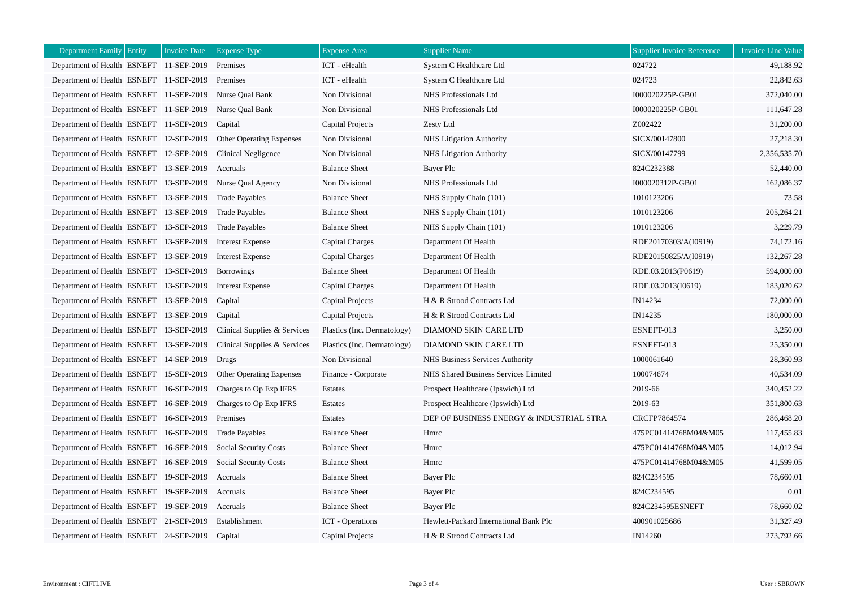| <b>Department Family Entity</b>                 | <b>Invoice Date</b> | <b>Expense Type</b>             | <b>Expense Area</b>         | <b>Supplier Name</b>                     | <b>Supplier Invoice Reference</b> | <b>Invoice Line Value</b> |
|-------------------------------------------------|---------------------|---------------------------------|-----------------------------|------------------------------------------|-----------------------------------|---------------------------|
| Department of Health ESNEFT 11-SEP-2019         |                     | Premises                        | ICT - eHealth               | System C Healthcare Ltd                  | 024722                            | 49,188.92                 |
| Department of Health ESNEFT 11-SEP-2019         |                     | Premises                        | ICT - eHealth               | System C Healthcare Ltd                  | 024723                            | 22,842.63                 |
| Department of Health ESNEFT 11-SEP-2019         |                     | Nurse Oual Bank                 | Non Divisional              | NHS Professionals Ltd                    | I000020225P-GB01                  | 372,040.00                |
| Department of Health ESNEFT 11-SEP-2019         |                     | Nurse Qual Bank                 | Non Divisional              | NHS Professionals Ltd                    | I000020225P-GB01                  | 111,647.28                |
| Department of Health ESNEFT 11-SEP-2019         |                     | Capital                         | <b>Capital Projects</b>     | Zesty Ltd                                | Z002422                           | 31,200.00                 |
| Department of Health ESNEFT 12-SEP-2019         |                     | Other Operating Expenses        | Non Divisional              | <b>NHS Litigation Authority</b>          | SICX/00147800                     | 27,218.30                 |
| Department of Health ESNEFT 12-SEP-2019         |                     | Clinical Negligence             | Non Divisional              | <b>NHS</b> Litigation Authority          | SICX/00147799                     | 2,356,535.70              |
| Department of Health ESNEFT 13-SEP-2019         |                     | Accruals                        | <b>Balance Sheet</b>        | Bayer Plc                                | 824C232388                        | 52,440.00                 |
| Department of Health ESNEFT 13-SEP-2019         |                     | Nurse Qual Agency               | Non Divisional              | NHS Professionals Ltd                    | I000020312P-GB01                  | 162,086.37                |
| Department of Health ESNEFT 13-SEP-2019         |                     | <b>Trade Payables</b>           | <b>Balance Sheet</b>        | NHS Supply Chain (101)                   | 1010123206                        | 73.58                     |
| Department of Health ESNEFT 13-SEP-2019         |                     | <b>Trade Payables</b>           | <b>Balance Sheet</b>        | NHS Supply Chain (101)                   | 1010123206                        | 205,264.21                |
| Department of Health ESNEFT 13-SEP-2019         |                     | <b>Trade Payables</b>           | <b>Balance Sheet</b>        | NHS Supply Chain (101)                   | 1010123206                        | 3,229.79                  |
| Department of Health ESNEFT 13-SEP-2019         |                     | <b>Interest Expense</b>         | <b>Capital Charges</b>      | Department Of Health                     | RDE20170303/A(I0919)              | 74,172.16                 |
| Department of Health ESNEFT 13-SEP-2019         |                     | <b>Interest Expense</b>         | Capital Charges             | Department Of Health                     | RDE20150825/A(I0919)              | 132,267.28                |
| Department of Health ESNEFT 13-SEP-2019         |                     | <b>Borrowings</b>               | <b>Balance Sheet</b>        | Department Of Health                     | RDE.03.2013(P0619)                | 594,000.00                |
| Department of Health ESNEFT 13-SEP-2019         |                     | <b>Interest Expense</b>         | Capital Charges             | Department Of Health                     | RDE.03.2013(I0619)                | 183,020.62                |
| Department of Health ESNEFT 13-SEP-2019         |                     | Capital                         | Capital Projects            | H & R Strood Contracts Ltd               | IN14234                           | 72,000.00                 |
| Department of Health ESNEFT 13-SEP-2019         |                     | Capital                         | Capital Projects            | H & R Strood Contracts Ltd               | IN14235                           | 180,000.00                |
| Department of Health ESNEFT 13-SEP-2019         |                     | Clinical Supplies & Services    | Plastics (Inc. Dermatology) | DIAMOND SKIN CARE LTD                    | ESNEFT-013                        | 3,250.00                  |
| Department of Health ESNEFT 13-SEP-2019         |                     | Clinical Supplies & Services    | Plastics (Inc. Dermatology) | DIAMOND SKIN CARE LTD                    | ESNEFT-013                        | 25,350.00                 |
| Department of Health ESNEFT 14-SEP-2019         |                     | Drugs                           | Non Divisional              | NHS Business Services Authority          | 1000061640                        | 28,360.93                 |
| Department of Health ESNEFT 15-SEP-2019         |                     | <b>Other Operating Expenses</b> | Finance - Corporate         | NHS Shared Business Services Limited     | 100074674                         | 40,534.09                 |
| Department of Health ESNEFT 16-SEP-2019         |                     | Charges to Op Exp IFRS          | Estates                     | Prospect Healthcare (Ipswich) Ltd        | 2019-66                           | 340,452.22                |
| Department of Health ESNEFT 16-SEP-2019         |                     | Charges to Op Exp IFRS          | Estates                     | Prospect Healthcare (Ipswich) Ltd        | 2019-63                           | 351,800.63                |
| Department of Health ESNEFT 16-SEP-2019         |                     | Premises                        | Estates                     | DEP OF BUSINESS ENERGY & INDUSTRIAL STRA | CRCFP7864574                      | 286,468.20                |
| Department of Health ESNEFT 16-SEP-2019         |                     | <b>Trade Payables</b>           | <b>Balance Sheet</b>        | Hmrc                                     | 475PC01414768M04&M05              | 117,455.83                |
| Department of Health ESNEFT 16-SEP-2019         |                     | Social Security Costs           | <b>Balance Sheet</b>        | Hmrc                                     | 475PC01414768M04&M05              | 14,012.94                 |
| Department of Health ESNEFT 16-SEP-2019         |                     | <b>Social Security Costs</b>    | <b>Balance Sheet</b>        | Hmrc                                     | 475PC01414768M04&M05              | 41,599.05                 |
| Department of Health ESNEFT 19-SEP-2019         |                     | Accruals                        | <b>Balance Sheet</b>        | Bayer Plc                                | 824C234595                        | 78,660.01                 |
| Department of Health ESNEFT 19-SEP-2019         |                     | Accruals                        | <b>Balance Sheet</b>        | Bayer Plc                                | 824C234595                        | 0.01                      |
| Department of Health ESNEFT 19-SEP-2019         |                     | Accruals                        | <b>Balance Sheet</b>        | Bayer Plc                                | 824C234595ESNEFT                  | 78,660.02                 |
| Department of Health ESNEFT 21-SEP-2019         |                     | Establishment                   | <b>ICT</b> - Operations     | Hewlett-Packard International Bank Plc   | 400901025686                      | 31,327.49                 |
| Department of Health ESNEFT 24-SEP-2019 Capital |                     |                                 | Capital Projects            | H & R Strood Contracts Ltd               | IN14260                           | 273,792.66                |